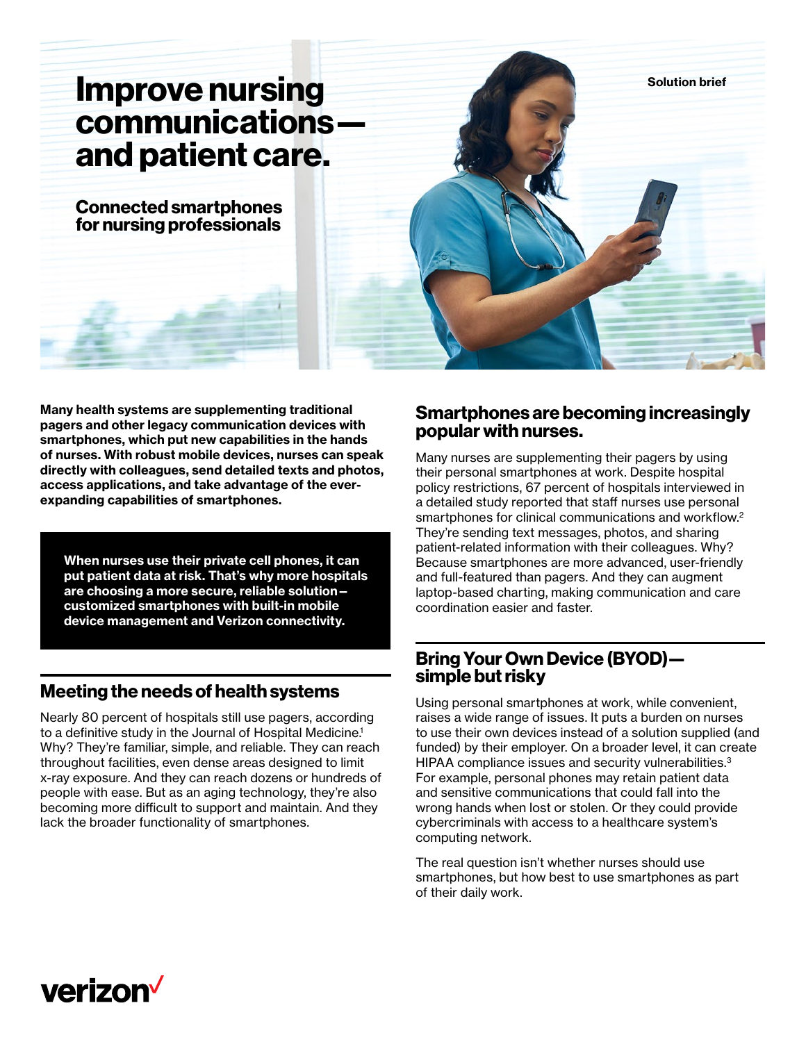# **communications and patient care.**

**Connected smartphones for nursing professionals**



**Many health systems are supplementing traditional pagers and other legacy communication devices with smartphones, which put new capabilities in the hands of nurses. With robust mobile devices, nurses can speak directly with colleagues, send detailed texts and photos, access applications, and take advantage of the everexpanding capabilities of smartphones.** 

**When nurses use their private cell phones, it can put patient data at risk. That's why more hospitals are choosing a more secure, reliable solution customized smartphones with built-in mobile device management and Verizon connectivity.**

## **Meeting the needs of health systems**

Nearly 80 percent of hospitals still use pagers, according to a definitive study in the Journal of Hospital Medicine.<sup>1</sup> Why? They're familiar, simple, and reliable. They can reach throughout facilities, even dense areas designed to limit x-ray exposure. And they can reach dozens or hundreds of people with ease. But as an aging technology, they're also becoming more difficult to support and maintain. And they lack the broader functionality of smartphones.

## **Smartphones are becoming increasingly popular with nurses.**

Many nurses are supplementing their pagers by using their personal smartphones at work. Despite hospital policy restrictions, 67 percent of hospitals interviewed in a detailed study reported that staff nurses use personal smartphones for clinical communications and workflow.<sup>2</sup> They're sending text messages, photos, and sharing patient-related information with their colleagues. Why? Because smartphones are more advanced, user-friendly and full-featured than pagers. And they can augment laptop-based charting, making communication and care coordination easier and faster.

## **Bring Your Own Device (BYOD) simple but risky**

Using personal smartphones at work, while convenient, raises a wide range of issues. It puts a burden on nurses to use their own devices instead of a solution supplied (and funded) by their employer. On a broader level, it can create HIPAA compliance issues and security vulnerabilities.<sup>3</sup> For example, personal phones may retain patient data and sensitive communications that could fall into the wrong hands when lost or stolen. Or they could provide cybercriminals with access to a healthcare system's computing network.

The real question isn't whether nurses should use smartphones, but how best to use smartphones as part of their daily work.